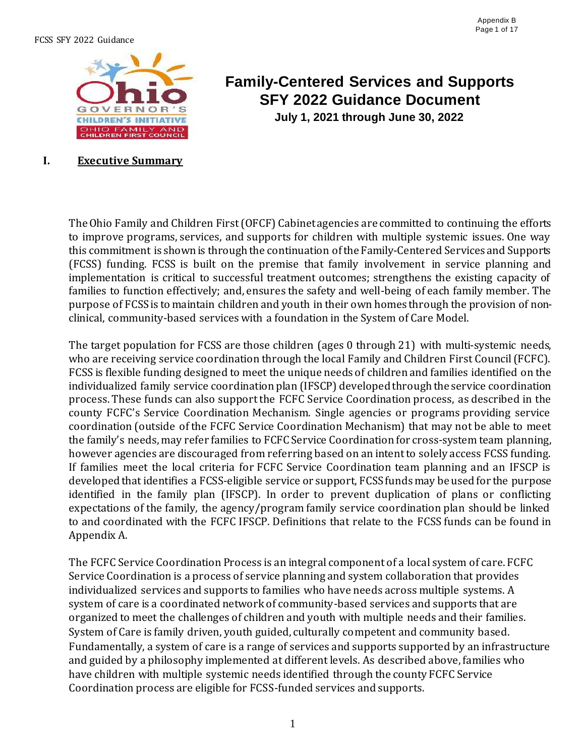

# **Family-Centered Services and Supports SFY 2022 Guidance Document**

**July 1, 2021 through June 30, 2022**

#### **I. Executive Summary**

TheOhio Family and Children First(OFCF) Cabinetagencies are committed to continuing the efforts to improve programs, services, and supports for children with multiple systemic issues. One way this commitment is shown is through the continuation of the Family-Centered Services and Supports (FCSS) funding. FCSS is built on the premise that family involvement in service planning and implementation is critical to successful treatment outcomes; strengthens the existing capacity of families to function effectively; and, ensures the safety and well-being of each family member. The purpose of FCSSis to maintain children and youth in their own homes through the provision of nonclinical, community-based services with a foundation in the System of Care Model.

The target population for FCSS are those children (ages 0 through 21) with multi-systemic needs, who are receiving service coordination through the local Family and Children First Council (FCFC). FCSS is flexible funding designed to meet the unique needs of childrenand families identified on the individualized family service coordination plan (IFSCP) developed through the service coordination process. These funds can also support the FCFC Service Coordination process, as described in the county FCFC's Service Coordination Mechanism. Single agencies or programs providing service coordination (outside of the FCFC Service Coordination Mechanism) that may not be able to meet the family's needs, may refer families to FCFCService Coordination for cross-system team planning, however agencies are discouraged from referring based on an intent to solely access FCSS funding. If families meet the local criteria for FCFC Service Coordination team planning and an IFSCP is developed that identifies a FCSS-eligible service or support, FCSS funds may be used for the purpose identified in the family plan (IFSCP). In order to prevent duplication of plans or conflicting expectations of the family, the agency/program family service coordination plan should be linked to and coordinated with the FCFC IFSCP. Definitions that relate to the FCSS funds can be found in Appendix A.

The FCFC Service Coordination Process is an integral component of a local system of care. FCFC Service Coordination is a process of service planning and system collaboration that provides individualized services and supports to families who have needs across multiple systems. A system of care is a coordinated network of community-based services and supports that are organized to meet the challenges of children and youth with multiple needs and their families. System of Care is family driven, youth guided, culturally competent and community based. Fundamentally, a system of care is a range of services and supports supported by an infrastructure and guided by a philosophy implemented at different levels. As described above, families who have children with multiple systemic needs identified through the county FCFC Service Coordination process are eligible for FCSS-funded services and supports.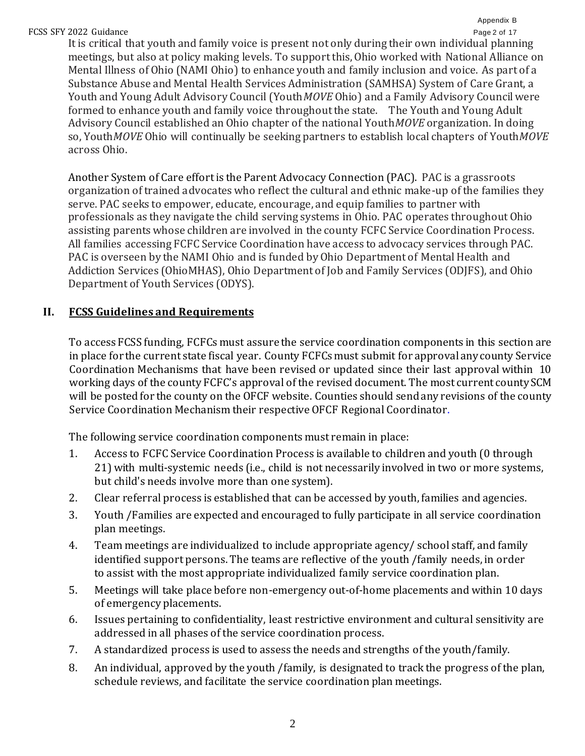#### Appendix B

FCSS SFY 2022 Guidance **Page 2 of 17** It is critical that youth and family voice is present not only during their own individual planning meetings, but also at policy making levels. To support this, Ohio worked with National Alliance on Mental Illness of Ohio (NAMI Ohio) to enhance youth and family inclusion and voice. As part of a Substance Abuse and Mental Health Services Administration (SAMHSA) System of Care Grant, a Youth and Young Adult Advisory Council (Youth*MOVE* Ohio) and a Family Advisory Council were formed to enhance youth and family voice throughout the state. The Youth and Young Adult Advisory Council established an Ohio chapter of the national Youth*MOVE* organization. In doing so, Youth*MOVE* Ohio will continually be seeking partners to establish local chapters of Youth*MOVE*  across Ohio.

Another System of Care effort is the Parent Advocacy Connection (PAC). PAC is a grassroots organization of trained advocates who reflect the cultural and ethnic make-up of the families they serve. PAC seeks to empower, educate, encourage, and equip families to partner with professionals as they navigate the child serving systems in Ohio. PAC operates throughout Ohio assisting parents whose children are involved in the county FCFC Service Coordination Process. All families accessing FCFC Service Coordination have access to advocacy services through PAC. PAC is overseen by the NAMI Ohio and is funded by Ohio Department of Mental Health and Addiction Services (OhioMHAS), Ohio Department of Job and Family Services (ODJFS), and Ohio Department of Youth Services (ODYS).

## **II. FCSS Guidelines and Requirements**

To access FCSS funding, FCFCs must assure the service coordination components in this section are in place for the current state fiscal year. County FCFCsmust submit for approvalanycounty Service Coordination Mechanisms that have been revised or updated since their last approval within 10 working days of the county FCFC's approval of the revised document. The most current county SCM will be posted for the county on the OFCF website. Counties should sendanyrevisions of the county Service Coordination Mechanism their respective OFCF Regional Coordinator.

The following service coordination components must remain in place:

- 1. Access to FCFC Service Coordination Process is available to children and youth (0 through 21) with multi-systemic needs (i.e., child is not necessarily involved in two or more systems, but child's needs involve more than one system).
- 2. Clear referral process is established that can be accessed by youth, families and agencies.
- 3. Youth /Families are expected and encouraged to fully participate in all service coordination plan meetings.
- 4. Team meetings are individualized to include appropriate agency/ school staff, and family identified support persons. The teams are reflective of the youth /family needs, in order to assist with the most appropriate individualized family service coordination plan.
- 5. Meetings will take place before non-emergency out-of-home placements and within 10 days of emergency placements.
- 6. Issues pertaining to confidentiality, least restrictive environment and cultural sensitivity are addressed in all phases of the service coordination process.
- 7. A standardized process is used to assess the needs and strengths of the youth/family.
- 8. An individual, approved by the youth /family, is designated to track the progress of the plan, schedule reviews, and facilitate the service coordination plan meetings.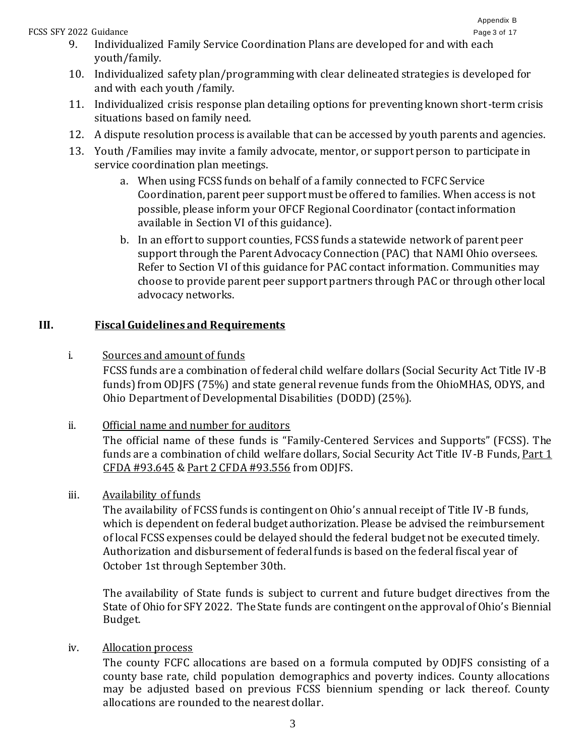#### FCSS SFY 2022 Guidance **Page 3 of 17**

- 9. Individualized Family Service Coordination Plans are developed for and with each youth/family.
- 10. Individualized safety plan/programming with clear delineated strategies is developed for and with each youth /family.
- 11. Individualized crisis response plan detailing options for preventing known short-term crisis situations based on family need.
- 12. A dispute resolution process is available that can be accessed by youth parents and agencies.
- 13. Youth /Families may invite a family advocate, mentor, or support person to participate in service coordination plan meetings.
	- a. When using FCSS funds on behalf of a family connected to FCFC Service Coordination, parent peer support must be offered to families. When access is not possible, please inform your OFCF Regional Coordinator (contact information available in Section VI of this guidance).
	- b. In an effort to support counties, FCSS funds a statewide network of parent peer support through the Parent Advocacy Connection (PAC) that NAMI Ohio oversees. Refer to Section VI of this guidance for PAC contact information. Communities may choose to provide parent peer support partners through PAC or through other local advocacy networks.

## **III. Fiscal Guidelines and Requirements**

i. Sources and amount of funds

FCSS funds are a combination of federal child welfare dollars (Social Security Act Title IV-B funds) from ODJFS (75%) and state general revenue funds from the OhioMHAS, ODYS, and Ohio Department of Developmental Disabilities (DODD) (25%).

## ii. Official name and number for auditors

The official name of these funds is "Family-Centered Services and Supports" (FCSS). The funds are a combination of child welfare dollars, Social Security Act Title IV-B Funds, Part 1 CFDA #93.645 & Part 2 CFDA #93.556 from ODJFS.

iii. Availability of funds

The availability of FCSS funds is contingent on Ohio's annual receipt of Title IV-B funds, which is dependent on federal budget authorization. Please be advised the reimbursement of local FCSS expenses could be delayed should the federal budget not be executed timely. Authorization and disbursement of federal funds is based on the federal fiscal year of October 1st through September 30th.

The availability of State funds is subject to current and future budget directives from the State of Ohio for SFY 2022. The State funds are contingent on the approval of Ohio's Biennial Budget.

## iv. Allocation process

The county FCFC allocations are based on a formula computed by ODJFS consisting of a county base rate, child population demographics and poverty indices. County allocations may be adjusted based on previous FCSS biennium spending or lack thereof. County allocations are rounded to the nearest dollar.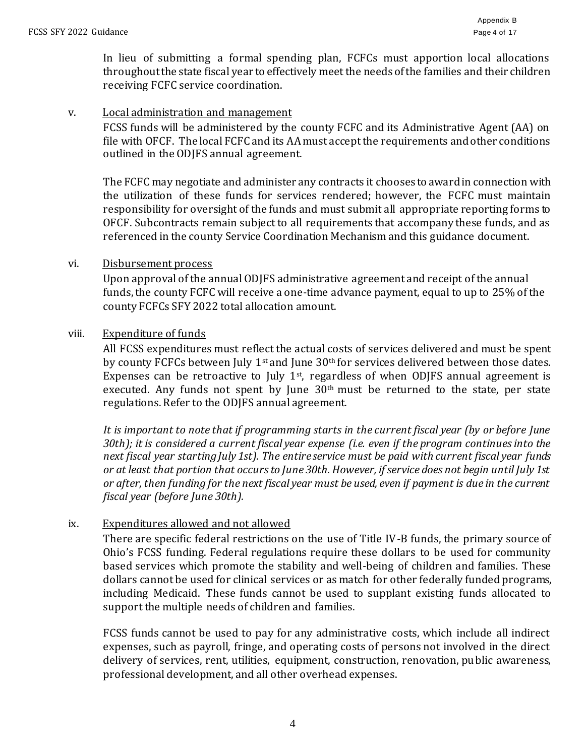In lieu of submitting a formal spending plan, FCFCs must apportion local allocations throughout the state fiscal year to effectively meet the needs of the families and their children receiving FCFC service coordination.

#### v. Local administration and management

FCSS funds will be administered by the county FCFC and its Administrative Agent (AA) on file with OFCF. The local FCFC and its AA must accept the requirements and other conditions outlined in the ODJFS annual agreement.

The FCFC may negotiate and administer any contracts it chooses to awardin connection with the utilization of these funds for services rendered; however, the FCFC must maintain responsibility for oversight of the funds and must submit all appropriate reporting forms to OFCF. Subcontracts remain subject to all requirements that accompany these funds, and as referenced in the county Service Coordination Mechanism and this guidance document.

#### vi. Disbursement process

Upon approval of the annual ODJFS administrative agreement and receipt of the annual funds, the county FCFC will receive a one-time advance payment, equal to up to 25% of the county FCFCs SFY 2022 total allocation amount.

#### viii. Expenditure of funds

All FCSS expenditures must reflect the actual costs of services delivered and must be spent by county FCFCs between July  $1<sup>st</sup>$  and June  $30<sup>th</sup>$  for services delivered between those dates. Expenses can be retroactive to July  $1<sup>st</sup>$ , regardless of when ODJFS annual agreement is executed. Any funds not spent by June  $30<sup>th</sup>$  must be returned to the state, per state regulations. Refer to the ODJFS annual agreement.

*It is important to note that if programming starts in the current fiscal year (by or before June 30th); it is considered a current fiscal year expense (i.e. even if the program continues into the next fiscal year startingJuly 1st). The entireservice must be paid with current fiscal year funds or at least that portion that occurs to June 30th. However, if service does not begin until July 1st or after, then funding for the next fiscal year must be used, even if payment is due in the current fiscal year (before June 30th).*

#### ix. Expenditures allowed and not allowed

There are specific federal restrictions on the use of Title IV-B funds, the primary source of Ohio's FCSS funding. Federal regulations require these dollars to be used for community based services which promote the stability and well-being of children and families. These dollars cannot be used for clinical services or as match for other federally funded programs, including Medicaid. These funds cannot be used to supplant existing funds allocated to support the multiple needs of children and families.

FCSS funds cannot be used to pay for any administrative costs, which include all indirect expenses, such as payroll, fringe, and operating costs of persons not involved in the direct delivery of services, rent, utilities, equipment, construction, renovation, public awareness, professional development, and all other overhead expenses.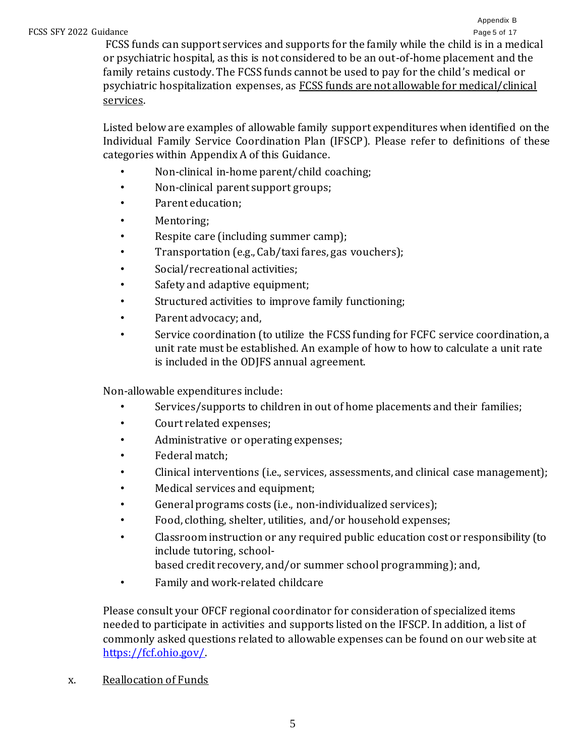FCSS funds can support services and supports for the family while the child is in a medical or psychiatric hospital, as this is not considered to be an out-of-home placement and the family retains custody. The FCSS funds cannot be used to pay for the child's medical or psychiatric hospitalization expenses, as FCSS funds are not allowable for medical/clinical services.

Listed below are examples of allowable family support expenditures when identified on the Individual Family Service Coordination Plan (IFSCP). Please refer to definitions of these categories within Appendix A of this Guidance.

- Non-clinical in-home parent/child coaching;
- Non-clinical parent support groups;
- Parent education;
- Mentoring;
- Respite care (including summer camp);
- Transportation (e.g., Cab/taxi fares, gas vouchers);
- Social/recreational activities;
- Safety and adaptive equipment;
- Structured activities to improve family functioning;
- Parent advocacy; and,
- Service coordination (to utilize the FCSS funding for FCFC service coordination, a unit rate must be established. An example of how to how to calculate a unit rate is included in the ODJFS annual agreement.

Non-allowable expenditures include:

- Services/supports to children in out of home placements and their families;
- Court related expenses;
- Administrative or operating expenses;
- Federal match;
- Clinical interventions (i.e., services, assessments, and clinical case management);
- Medical services and equipment;
- General programs costs (i.e., non-individualized services);
- Food, clothing, shelter, utilities, and/or household expenses;
- Classroom instruction or any required public education cost or responsibility (to include tutoring, school-

based credit recovery, and/or summer school programming); and,

• Family and work-related childcare

Please consult your OFCF regional coordinator for consideration of specialized items needed to participate in activities and supports listed on the IFSCP. In addition, a list of commonly asked questions related to allowable expenses can be found on our website at [https://fcf.ohio.gov/](http://usaspending.gov/)[.](http://www.nwi.pdx.edu/)

x. Reallocation of Funds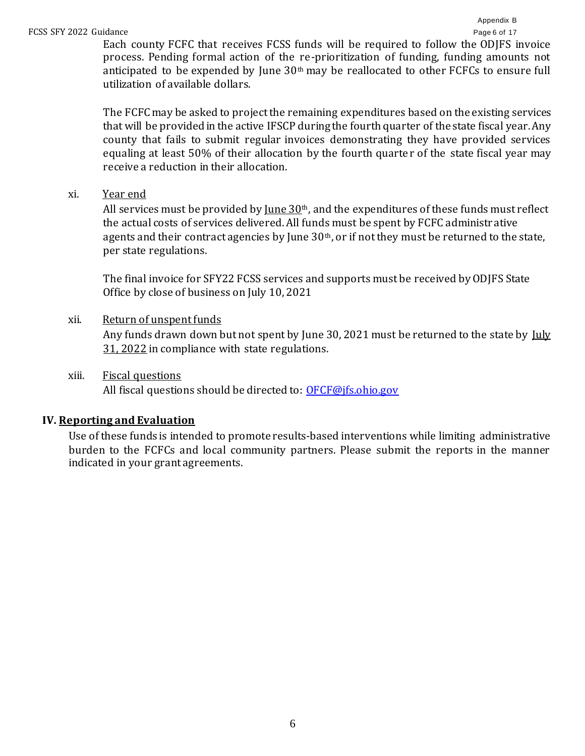Each county FCFC that receives FCSS funds will be required to follow the ODJFS invoice process. Pending formal action of the re-prioritization of funding, funding amounts not anticipated to be expended by June 30<sup>th</sup> may be reallocated to other FCFCs to ensure full utilization of available dollars.

The FCFCmay be asked to project the remaining expenditures based on the existing services that will be provided in the active IFSCP during the fourth quarter of the state fiscal year. Any county that fails to submit regular invoices demonstrating they have provided services equaling at least 50% of their allocation by the fourth quarter of the state fiscal year may receive a reduction in their allocation.

xi. Year end

All services must be provided by <u>June 30</u><sup>th</sup>, and the expenditures of these funds must reflect the actual costs of services delivered. All funds must be spent by FCFC administr ative agents and their contract agencies by June  $30<sup>th</sup>$ , or if not they must be returned to the state, per state regulations.

The final invoice for SFY22 FCSS services and supports must be received by ODJFS State Office by close of business on July 10, 2021

xii. Return of unspent funds

Any funds drawn down but not spent by June 30, 2021 must be returned to the state by July 31, 2022 in compliance with state regulations.

xiii. Fiscal questions

All fiscal questions should be directed to: [OFCF@jfs.ohio.gov](mailto:OFCF@jfs.ohio.gov)

### **IV. Reporting and Evaluation**

Use of these funds is intended to promote results-based interventions while limiting administrative burden to the FCFCs and local community partners. Please submit the reports in the manner indicated in your grant agreements.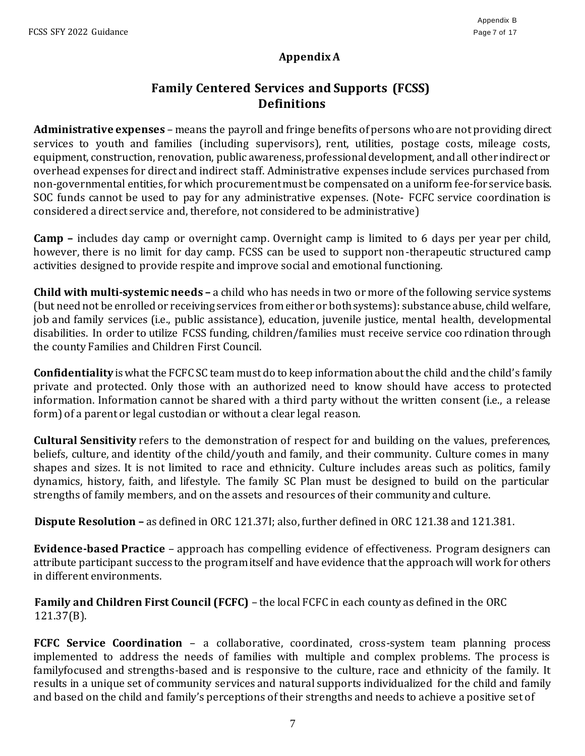## **Appendix A**

## **Family Centered Services and Supports (FCSS) Definitions**

**Administrative expenses** *–* means the payroll and fringe benefits ofpersons who are not providing direct services to youth and families (including supervisors), rent, utilities, postage costs, mileage costs, equipment, construction, renovation, public awareness, professional development, and all other indirect or overhead expenses for direct and indirect staff. Administrative expenses include services purchased from non-governmental entities, forwhich procurementmust be compensated on auniform fee-for service basis. SOC funds cannot be used to pay for any administrative expenses. (Note- FCFC service coordination is considered a direct service and, therefore, not considered to be administrative)

**Camp –** includes day camp or overnight camp. Overnight camp is limited to 6 days per year per child, however, there is no limit for day camp. FCSS can be used to support non-therapeutic structured camp activities designed to provide respite and improve social and emotional functioning.

**Child with multi-systemic needs –** a child who has needs in two or more of the following service systems (but need not be enrolled or receiving services from either or both systems): substance abuse, child welfare, job and family services (i.e., public assistance), education, juvenile justice, mental health, developmental disabilities. In order to utilize FCSS funding, children/families must receive service coo rdination through the county Families and Children First Council.

**Confidentiality** is what the FCFC SC team must do to keep information about the child and the child's family private and protected. Only those with an authorized need to know should have access to protected information. Information cannot be shared with a third party without the written consent (i.e., a release form) of a parent or legal custodian or without a clear legal reason.

**Cultural Sensitivity** refers to the demonstration of respect for and building on the values, preferences, beliefs, culture, and identity of the child/youth and family, and their community. Culture comes in many shapes and sizes. It is not limited to race and ethnicity. Culture includes areas such as politics, family dynamics, history, faith, and lifestyle. The family SC Plan must be designed to build on the particular strengths of family members, and on the assets and resources of their community and culture.

**Dispute Resolution –** as defined in ORC 121.37I; also, further defined in ORC 121.38 and 121.381.

**Evidence-based Practice** – approach has compelling evidence of effectiveness. Program designers can attribute participant success to the program itself and have evidence that the approach will work for others in different environments.

**Family and Children First Council (FCFC)** – the local FCFC in each county as defined in the ORC 121.37(B).

**FCFC Service Coordination -** a collaborative, coordinated, cross-system team planning process implemented to address the needs of families with multiple and complex problems. The process is familyfocused and strengths-based and is responsive to the culture, race and ethnicity of the family. It results in a unique set of community services and natural supports individualized for the child and family and based on the child and family's perceptions of their strengths and needs to achieve a positive set of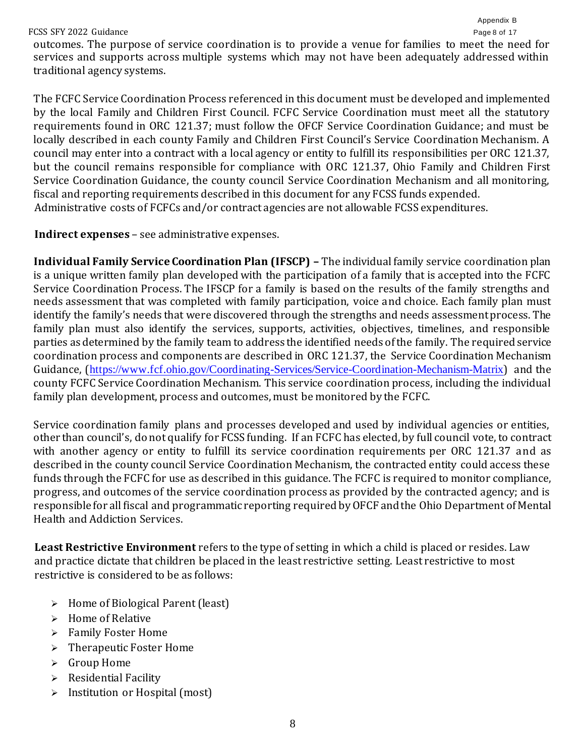#### FCSS SFY 2022 Guidance **Page 8 of 17**

outcomes. The purpose of service coordination is to provide a venue for families to meet the need for services and supports across multiple systems which may not have been adequately addressed within traditional agency systems.

The FCFC Service Coordination Process referenced in this document must be developed and implemented by the local Family and Children First Council. FCFC Service Coordination must meet all the statutory requirements found in ORC 121.37; must follow the OFCF Service Coordination Guidance; and must be locally described in each county Family and Children First Council's Service Coordination Mechanism. A council may enter into a contract with a local agency or entity to fulfill its responsibilities per ORC 121.37, but the council remains responsible for compliance with ORC 121.37, Ohio Family and Children First Service Coordination Guidance, the county council Service Coordination Mechanism and all monitoring, fiscal and reporting requirements described in this document for any FCSS funds expended. Administrative costs of FCFCs and/or contract agencies are not allowable FCSS expenditures.

### **Indirect expenses** – see administrative expenses.

**Individual Family Service Coordination Plan (IFSCP) –** The individual family service coordination plan is a unique written family plan developed with the participation of a family that is accepted into the FCFC Service Coordination Process. The IFSCP for a family is based on the results of the family strengths and needs assessment that was completed with family participation, voice and choice. Each family plan must identify the family's needs that were discovered through the strengths and needs assessmentprocess. The family plan must also identify the services, supports, activities, objectives, timelines, and responsible parties asdetermined by the family team to address the identified needs ofthe family. The required service coordination process and components are described in ORC 121.37, the Service Coordination Mechanism Guidance, ([https://www.fcf.ohio.gov/Coordinating-Services/Service-Coordination-Mechanism-Matrix](http://www.nwi.pdx.edu/)[\) a](http://www.wraparoundohio.org/)nd the county FCFC Service Coordination Mechanism. This service coordination process, including the individual family plan development, process and outcomes, must be monitored by the FCFC.

Service coordination family plans and processes developed and used by individual agencies or entities, other than council's, do not qualify for FCSSfunding. If an FCFC has elected, by full council vote, to contract with another agency or entity to fulfill its service coordination requirements per ORC 121.37 and as described in the county council Service Coordination Mechanism, the contracted entity could access these funds through the FCFC for use as described in this guidance. The FCFC is required to monitor compliance, progress, and outcomes of the service coordination process as provided by the contracted agency; and is responsible for all fiscal and programmatic reporting required by OFCF and the Ohio Department of Mental Health and Addiction Services.

**Least Restrictive Environment** refers to the type of setting in which a child is placed or resides. Law and practice dictate that children be placed in the least restrictive setting. Least restrictive to most restrictive is considered to be as follows:

- ➢ Home of Biological Parent (least)
- ➢ Home of Relative
- ➢ Family Foster Home
- ➢ Therapeutic Foster Home
- ➢ Group Home
- ➢ Residential Facility
- ➢ Institution or Hospital (most)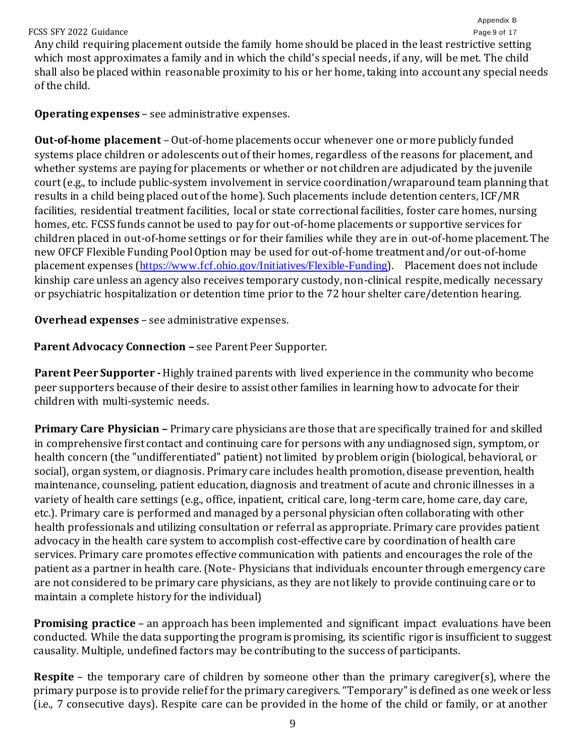FCSS SFY 2022 Guidance **Page 9 of 17** Any child requiring placement outside the family home should be placed in the least restrictive setting which most approximates a family and in which the child's special needs, if any, will be met. The child shall also be placed within reasonable proximity to his or her home, taking into account any special needs of the child.

Appendix B

**Operating expenses** – see administrative expenses.

**Out-of-home placement** – Out-of-home placements occur whenever one or more publicly funded systems place children or adolescents out of their homes, regardless of the reasons for placement, and whether systems are paying for placements or whether or not children are adjudicated by the juvenile court (e.g., to include public-system involvement in service coordination/wraparound team planning that results in a child being placed out of the home). Such placements include detention centers, ICF/MR facilities, residential treatment facilities, local or state correctional facilities, foster care homes, nursing homes, etc. FCSS funds cannot be used to pay for out-of-home placements or supportive services for children placed in out-of-home settings or for their families while they are in out-of-home placement. The new OFCF Flexible Funding Pool Option may be used for out-of-home treatment and/or out-of-home placement expenses ([https://www.fcf.ohio.gov/Initiatives/Flexible-Funding](http://usaspending.gov/)[\).](https://fcf.ohio.gov/) Placement does not include kinship care unless an agency also receives temporary custody, non-clinical respite, medically necessary or psychiatric hospitalization or detention time prior to the 72 hour shelter care/detention hearing.

**Overhead expenses** – see administrative expenses.

**Parent Advocacy Connection –** see Parent Peer Supporter.

**Parent Peer Supporter -**Highly trained parents with lived experience in the community who become peer supporters because of their desire to assist other families in learning how to advocate for their children with multi-systemic needs.

**Primary Care Physician –** Primary care physicians are those that are specifically trained for and skilled in comprehensive first contact and continuing care for persons with any undiagnosed sign, symptom, or health concern (the "undifferentiated" patient) not limited by problem origin (biological, behavioral, or social), organ system, or diagnosis. Primary care includes health promotion, disease prevention, health maintenance, counseling, patient education, diagnosis and treatment of acute and chronic illnesses in a variety of health care settings (e.g., office, inpatient, critical care, long-term care, home care, day care, etc.). Primary care is performed and managed by a personal physician often collaborating with other health professionals and utilizing consultation or referral as appropriate. Primary care provides patient advocacy in the health care system to accomplish cost-effective care by coordination of health care services. Primary care promotes effective communication with patients and encourages the role of the patient as a partner in health care. (Note- Physicians that individuals encounter through emergency care are not considered to be primary care physicians, as they are not likely to provide continuing care or to maintain a complete history for the individual)

**Promising practice** – an approach has been implemented and significant impact evaluations have been conducted. While the data supporting the program is promising, its scientific rigor is insufficient to suggest causality. Multiple, undefined factors may be contributing to the success of participants.

**Respite** – the temporary care of children by someone other than the primary caregiver(s), where the primary purpose is to provide relief for the primary caregivers."Temporary"isdefined as one week or less (i.e., 7 consecutive days). Respite care can be provided in the home of the child or family, or at another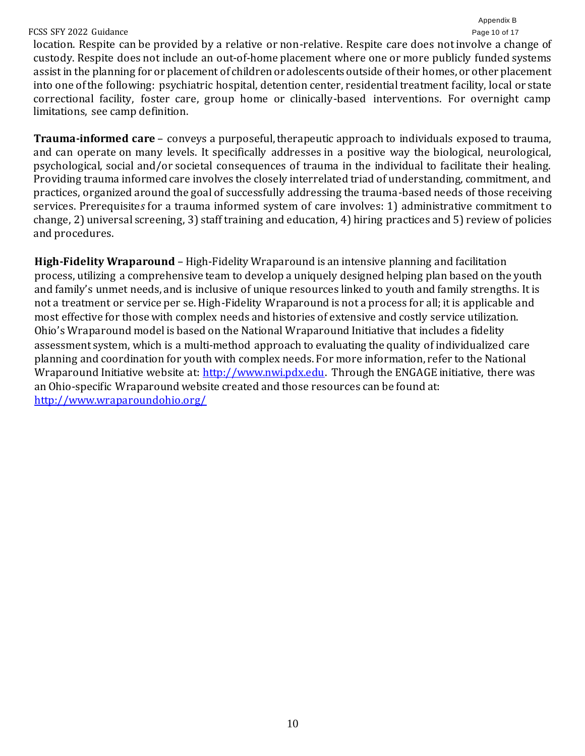#### FCSS SFY 2022 Guidance Page 10 of 17

location. Respite can be provided by a relative or non-relative. Respite care does not involve a change of custody. Respite does not include an out-of-home placement where one or more publicly funded systems assist in the planning for or placement of children or adolescents outside of their homes, or other placement into one ofthe following: psychiatric hospital, detention center, residential treatment facility, local or state correctional facility, foster care, group home or clinically-based interventions. For overnight camp limitations, see camp definition.

**Trauma-informed care** – conveys a purposeful, therapeutic approach to individuals exposed to trauma, and can operate on many levels. It specifically addresses in a positive way the biological, neurological, psychological, social and/or societal consequences of trauma in the individual to facilitate their healing. Providing trauma informed care involves the closely interrelated triad of understanding, commitment, and practices, organized around the goal of successfully addressing the trauma-based needs of those receiving services. Prerequisite*s* for a trauma informed system of care involves: 1) administrative commitment to change, 2) universal screening, 3) staff training and education, 4) hiring practices and 5) review of policies and procedures.

**High-Fidelity Wraparound** – High-Fidelity Wraparound is an intensive planning and facilitation process, utilizing a comprehensive team to develop a uniquely designed helping plan based on the youth and family's unmet needs, and is inclusive of unique resources linked to youth and family strengths. It is not a treatment or service per se. High-Fidelity Wraparound is not a process for all; it is applicable and most effective for those with complex needs and histories of extensive and costly service utilization. Ohio's Wraparound model is based on the National Wraparound Initiative that includes a fidelity assessment system, which is a multi-method approach to evaluating the quality of individualized care planning and coordination for youth with complex needs. For more information, refer to the National Wraparound Initiative website at: [http://www.nwi.pdx.edu.](http://usaspending.gov/) Through the ENGAGE initiative, there was an Ohio-specific Wraparound website created and those resources can be found at: [http://www.wraparoundohio.org/](https://www.fcf.ohio.gov/Initiatives/Flexible-Funding)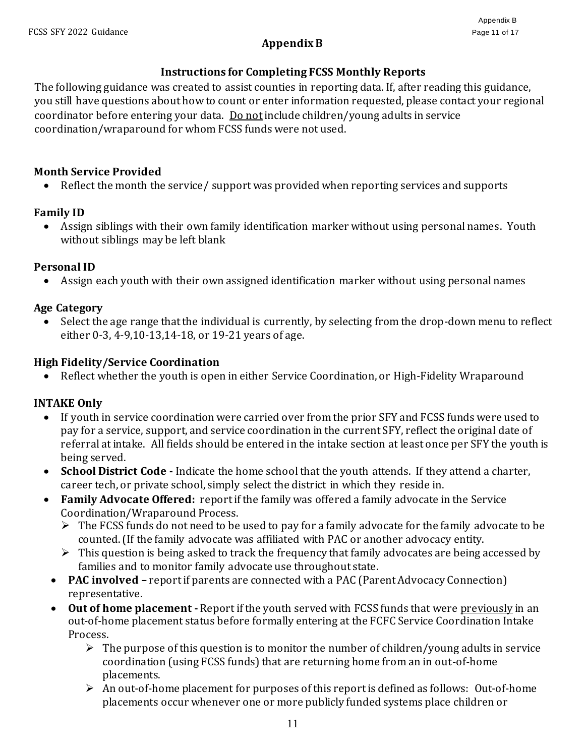## **Appendix B**

## **Instructions for Completing FCSS Monthly Reports**

The following guidance was created to assist counties in reporting data. If, after reading this guidance, you still have questions about how to count or enter information requested, please contact your regional coordinator before entering your data. Do not include children/young adults in service coordination/wraparound for whom FCSS funds were not used.

## **Month Service Provided**

• Reflect the month the service/ support was provided when reporting services and supports

## **Family ID**

• Assign siblings with their own family identification marker without using personal names. Youth without siblings may be left blank

## **Personal ID**

• Assign each youth with their own assigned identification marker without using personal names

## **Age Category**

• Select the age range that the individual is currently, by selecting from the drop-down menu to reflect either 0-3, 4-9,10-13,14-18, or 19-21 years of age.

## **High Fidelity/Service Coordination**

• Reflect whether the youth is open in either Service Coordination, or High-Fidelity Wraparound

## **INTAKE Only**

- If youth in service coordination were carried over from the prior SFY and FCSS funds were used to pay for a service, support, and service coordination in the current SFY, reflect the original date of referral at intake. All fields should be entered in the intake section at least once per SFY the youth is being served.
- **School District Code -** Indicate the home school that the youth attends. If they attend a charter, career tech, or private school, simply select the district in which they reside in.
- **Family Advocate Offered:** report if the family was offered a family advocate in the Service Coordination/Wraparound Process.
	- ➢ The FCSS funds do not need to be used to pay for a family advocate for the family advocate to be counted. (If the family advocate was affiliated with PAC or another advocacy entity.
	- $\triangleright$  This question is being asked to track the frequency that family advocates are being accessed by families and to monitor family advocate use throughout state.
	- **PAC involved** report if parents are connected with a PAC (Parent Advocacy Connection) representative.
	- Out of home placement Report if the youth served with FCSS funds that were <u>previously</u> in an out-of-home placement status before formally entering at the FCFC Service Coordination Intake Process.
		- $\triangleright$  The purpose of this question is to monitor the number of children/young adults in service coordination (using FCSS funds) that are returning home from an in out-of-home placements.
		- ➢ An out-of-home placement for purposes of this report is defined as follows: Out-of-home placements occur whenever one or more publicly funded systems place children or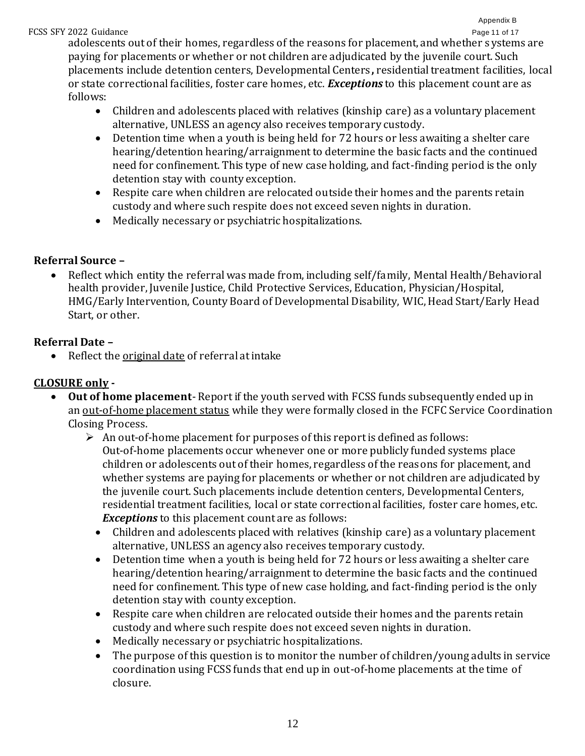#### FCSS SFY 2022 Guidance **Page 11 of 17** Page 11 of 17

adolescents out of their homes, regardless of the reasons for placement, and whether s ystems are paying for placements or whether or not children are adjudicated by the juvenile court. Such placements include detention centers, Developmental Centers**,** residential treatment facilities, local or state correctional facilities, foster care homes, etc. *Exceptions* to this placement count are as follows:

- Children and adolescents placed with relatives (kinship care) as a voluntary placement alternative, UNLESS an agency also receives temporary custody.
- Detention time when a youth is being held for 72 hours or less awaiting a shelter care hearing/detention hearing/arraignment to determine the basic facts and the continued need for confinement. This type of new case holding, and fact-finding period is the only detention stay with county exception.
- Respite care when children are relocated outside their homes and the parents retain custody and where such respite does not exceed seven nights in duration.
- Medically necessary or psychiatric hospitalizations.

## **Referral Source –**

• Reflect which entity the referral was made from, including self/family, Mental Health/Behavioral health provider, Juvenile Justice, Child Protective Services, Education, Physician/Hospital, HMG/Early Intervention, County Board of Developmental Disability, WIC, Head Start/Early Head Start, or other.

## **Referral Date –**

• Reflect the original date of referral at intake

## **CLOSURE only -**

- **Out of home placement** Report if the youth served with FCSS funds subsequently ended up in an out-of-home placement status while they were formally closed in the FCFC Service Coordination Closing Process.
	- $\triangleright$  An out-of-home placement for purposes of this report is defined as follows: Out-of-home placements occur whenever one or more publicly funded systems place children or adolescents out of their homes, regardless of the reasons for placement, and whether systems are paying for placements or whether or not children are adjudicated by the juvenile court. Such placements include detention centers, Developmental Centers, residential treatment facilities, local or state correctional facilities, foster care homes, etc. *Exceptions* to this placement count are as follows:
		- Children and adolescents placed with relatives (kinship care) as a voluntary placement alternative, UNLESS an agency also receives temporary custody.
		- Detention time when a youth is being held for 72 hours or less awaiting a shelter care hearing/detention hearing/arraignment to determine the basic facts and the continued need for confinement. This type of new case holding, and fact-finding period is the only detention stay with county exception.
		- Respite care when children are relocated outside their homes and the parents retain custody and where such respite does not exceed seven nights in duration.
		- Medically necessary or psychiatric hospitalizations.
		- The purpose of this question is to monitor the number of children/young adults in service coordination using FCSS funds that end up in out-of-home placements at the time of closure.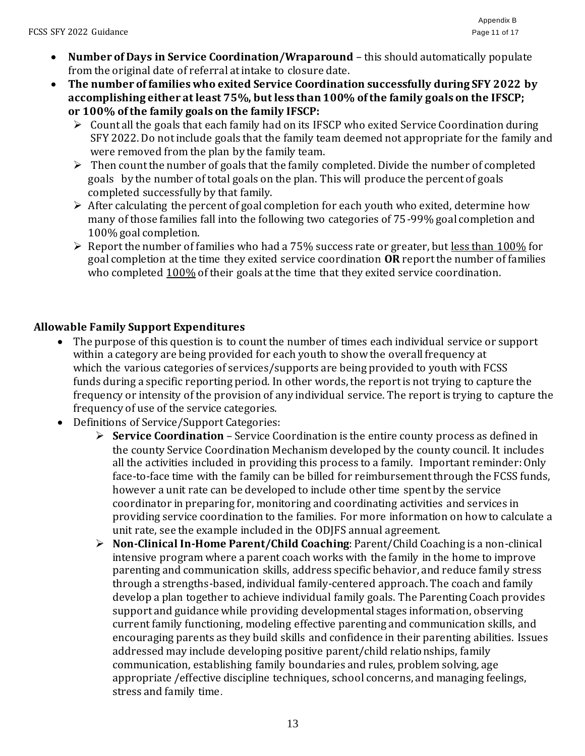- **Number of Days in Service Coordination/Wraparound** this should automatically populate from the original date of referral at intake to closure date.
- **The number of families who exited Service Coordination successfully during SFY 2022 by accomplishing either at least 75%, but less than 100% of the family goals on the IFSCP; or 100% of the family goals on the family IFSCP:**
	- ➢ Count all the goals that each family had on its IFSCP who exited Service Coordination during SFY 2022. Do not include goals that the family team deemed not appropriate for the family and were removed from the plan by the family team.
	- $\triangleright$  Then count the number of goals that the family completed. Divide the number of completed goals by the number of total goals on the plan. This will produce the percent of goals completed successfully by that family.
	- $\triangleright$  After calculating the percent of goal completion for each youth who exited, determine how many of those families fall into the following two categories of 75-99% goal completion and 100% goal completion.
	- ➢ Report the number of families who had a 75% success rate or greater, but less than 100% for goal completion at the time they exited service coordination **OR** report the number of families who completed  $100\%$  of their goals at the time that they exited service coordination.

## **Allowable Family Support Expenditures**

- The purpose of this question is to count the number of times each individual service or support within a category are being provided for each youth to show the overall frequency at which the various categories of services/supports are being provided to youth with FCSS funds during a specific reporting period. In other words, the report is not trying to capture the frequency or intensity of the provision of any individual service. The report is trying to capture the frequency of use of the service categories.
- Definitions of Service/Support Categories:
	- ➢ **Service Coordination** Service Coordination is the entire county process as defined in the county Service Coordination Mechanism developed by the county council. It includes all the activities included in providing this process to a family. Important reminder: Only face-to-face time with the family can be billed for reimbursement through the FCSS funds, however a unit rate can be developed to include other time spent by the service coordinator in preparing for, monitoring and coordinating activities and services in providing service coordination to the families. For more information on how to calculate a unit rate, see the example included in the ODJFS annual agreement.
	- ➢ **Non-Clinical In-Home Parent/Child Coaching**: Parent/Child Coaching is a non-clinical intensive program where a parent coach works with the family in the home to improve parenting and communication skills, address specific behavior, and reduce family stress through a strengths-based, individual family-centered approach. The coach and family develop a plan together to achieve individual family goals. The Parenting Coach provides support and guidance while providing developmental stages information, observing current family functioning, modeling effective parenting and communication skills, and encouraging parents as they build skills and confidence in their parenting abilities. Issues addressed may include developing positive parent/child relationships, family communication, establishing family boundaries and rules, problem solving, age appropriate /effective discipline techniques, school concerns, and managing feelings, stress and family time.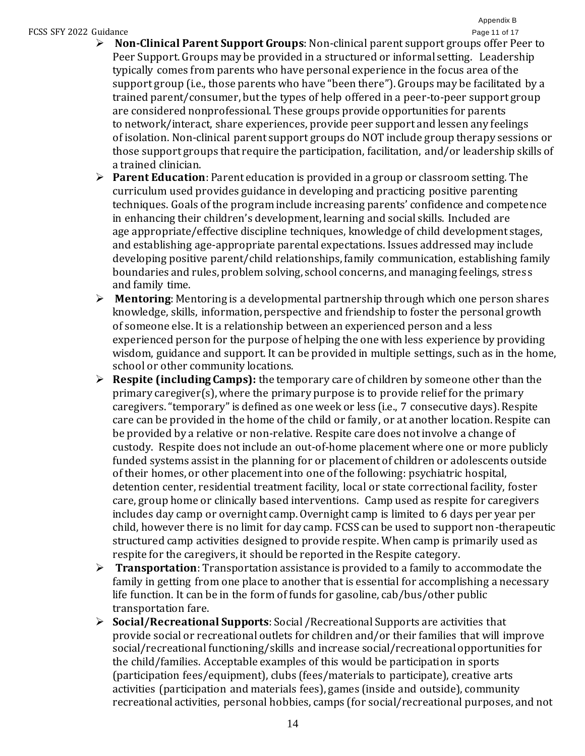#### FCSS SFY 2022 Guidance **Page 11 of 17** and 17 and 17 and 17 and 17 and 17 and 17 and 18 and 17 and 17 and 17 and 17 and 17 and 17 and 17 and 17 and 17 and 17 and 17 and 17 and 17 and 17 and 17 and 17 and 17 and 17 and 17 a

- ➢ **Non-Clinical Parent Support Groups**: Non-clinical parent support groups offer Peer to Peer Support. Groups may be provided in a structured or informal setting. Leadership typically comes from parents who have personal experience in the focus area of the support group (i.e., those parents who have "been there"). Groups may be facilitated by a trained parent/consumer, but the types of help offered in a peer-to-peer support group are considered nonprofessional. These groups provide opportunities for parents to network/interact, share experiences, provide peer support and lessen any feelings of isolation. Non-clinical parent support groups do NOT include group therapy sessions or those support groups that require the participation, facilitation, and/or leadership skills of a trained clinician.
- ➢ **Parent Education**: Parent education is provided in a group or classroom setting. The curriculum used provides guidance in developing and practicing positive parenting techniques. Goals of the program include increasing parents' confidence and competence in enhancing their children's development, learning and social skills. Included are age appropriate/effective discipline techniques, knowledge of child development stages, and establishing age-appropriate parental expectations. Issues addressed may include developing positive parent/child relationships, family communication, establishing family boundaries and rules, problem solving, school concerns, and managing feelings, stres s and family time.
- ➢ **Mentoring**: Mentoring is a developmental partnership through which one person shares knowledge, skills, information, perspective and friendship to foster the personal growth of someone else. It is a relationship between an experienced person and a less experienced person for the purpose of helping the one with less experience by providing wisdom, guidance and support. It can be provided in multiple settings, such as in the home, school or other community locations.
- ➢ **Respite (including Camps):** the temporary care of children by someone other than the primary caregiver(s), where the primary purpose is to provide relief for the primary caregivers. "temporary" is defined as one week or less (i.e., 7 consecutive days). Respite care can be provided in the home of the child or family, or at another location. Respite can be provided by a relative or non-relative. Respite care does not involve a change of custody. Respite does not include an out-of-home placement where one or more publicly funded systems assist in the planning for or placement of children or adolescents outside of their homes, or other placement into one of the following: psychiatric hospital, detention center, residential treatment facility, local or state correctional facility, foster care, group home or clinically based interventions. Camp used as respite for caregivers includes day camp or overnight camp. Overnight camp is limited to 6 days per year per child, however there is no limit for day camp. FCSS can be used to support non-therapeutic structured camp activities designed to provide respite. When camp is primarily used as respite for the caregivers, it should be reported in the Respite category.
- ➢ **Transportation**: Transportation assistance is provided to a family to accommodate the family in getting from one place to another that is essential for accomplishing a necessary life function. It can be in the form of funds for gasoline, cab/bus/other public transportation fare.
- ➢ **Social/Recreational Supports**: Social /Recreational Supports are activities that provide social or recreational outlets for children and/or their families that will improve social/recreational functioning/skills and increase social/recreational opportunities for the child/families. Acceptable examples of this would be participation in sports (participation fees/equipment), clubs (fees/materials to participate), creative arts activities (participation and materials fees), games (inside and outside), community recreational activities, personal hobbies, camps (for social/recreational purposes, and not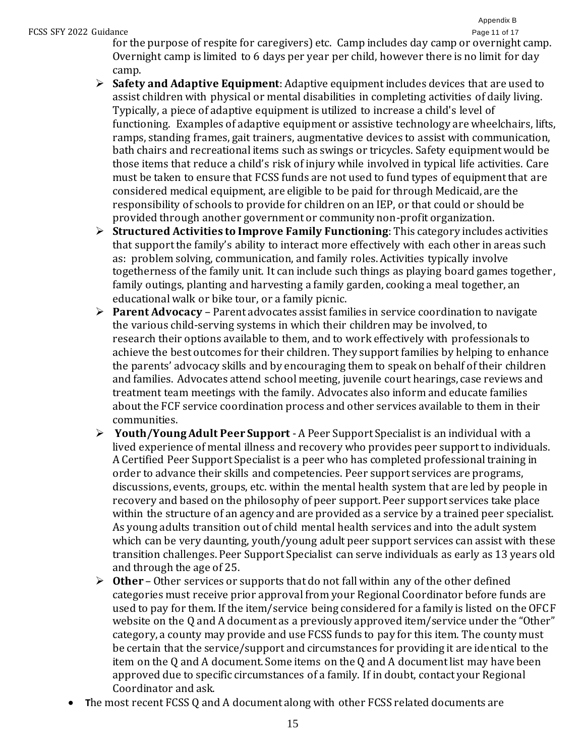#### FCSS SFY 2022 Guidance **Page 11 of 17** and 17 and 17 and 17 and 17 and 17 and 17 and 18 and 17 and 17 and 17 and 17 and 17 and 17 and 17 and 17 and 17 and 17 and 17 and 17 and 17 and 17 and 17 and 17 and 17 and 17 and 17 a

for the purpose of respite for caregivers) etc. Camp includes day camp or overnight camp. Overnight camp is limited to 6 days per year per child, however there is no limit for day camp.

- ➢ **Safety and Adaptive Equipment**: Adaptive equipment includes devices that are used to assist children with physical or mental disabilities in completing activities of daily living. Typically, a piece of adaptive equipment is utilized to increase a child's level of functioning. Examples of adaptive equipment or assistive technology are wheelchairs, lifts, ramps, standing frames, gait trainers, augmentative devices to assist with communication, bath chairs and recreational items such as swings or tricycles. Safety equipment would be those items that reduce a child's risk of injury while involved in typical life activities. Care must be taken to ensure that FCSS funds are not used to fund types of equipment that are considered medical equipment, are eligible to be paid for through Medicaid, are the responsibility of schools to provide for children on an IEP, or that could or should be provided through another government or community non-profit organization.
- ➢ **Structured Activities to Improve Family Functioning**: This category includes activities that support the family's ability to interact more effectively with each other in areas such as: problem solving, communication, and family roles. Activities typically involve togetherness of the family unit. It can include such things as playing board games together , family outings, planting and harvesting a family garden, cooking a meal together, an educational walk or bike tour, or a family picnic.
- ➢ **Parent Advocacy** Parent advocates assist families in service coordination to navigate the various child-serving systems in which their children may be involved, to research their options available to them, and to work effectively with professionals to achieve the best outcomes for their children. They support families by helping to enhance the parents' advocacy skills and by encouraging them to speak on behalf of their children and families. Advocates attend school meeting, juvenile court hearings, case reviews and treatment team meetings with the family. Advocates also inform and educate families about the FCF service coordination process and other services available to them in their communities.
- ➢ **Youth/Young Adult Peer Support** A Peer Support Specialist is an individual with a lived experience of mental illness and recovery who provides peer support to individuals. A Certified Peer Support Specialist is a peer who has completed professional training in order to advance their skills and competencies. Peer support services are programs, discussions, events, groups, etc. within the mental health system that are led by people in recovery and based on the philosophy of peer support. Peer support services take place within the structure of an agency and are provided as a service by a trained peer specialist. As young adults transition out of child mental health services and into the adult system which can be very daunting, youth/young adult peer support services can assist with these transition challenges. Peer Support Specialist can serve individuals as early as 13 years old and through the age of 25.
- ➢ **Other** Other services or supports that do not fall within any of the other defined categories must receive prior approval from your Regional Coordinator before funds are used to pay for them. If the item/service being considered for a family is listed on the OFCF website on the Q and A document as a previously approved item/service under the "Other" category, a county may provide and use FCSS funds to pay for this item. The county must be certain that the service/support and circumstances for providing it are identical to the item on the Q and A document. Some items on the Q and A document list may have been approved due to specific circumstances of a family. If in doubt, contact your Regional Coordinator and ask.
- **T**he most recent FCSS Q and A document along with other FCSS related documents are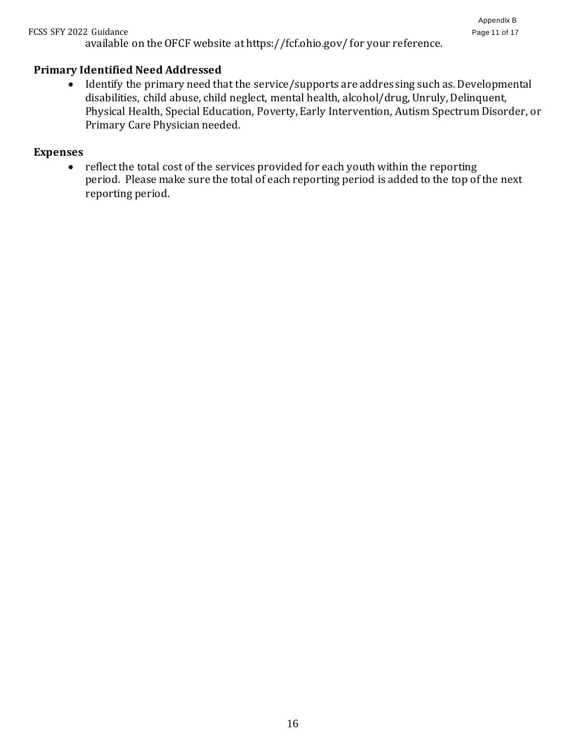#### FCSS SFY 2022 Guidance Page 11 of 17

available on the OFCF website at https://fcf.ohio.gov/ for your reference.

#### **Primary Identified Need Addressed**

• Identify the primary need that the service/supports are addressing such as. Developmental disabilities, child abuse, child neglect, mental health, alcohol/drug, Unruly, Delinquent, Physical Health, Special Education, Poverty, Early Intervention, Autism Spectrum Disorder, or Primary Care Physician needed.

#### **Expenses**

• reflect the total cost of the services provided for each youth within the reporting period. Please make sure the total of each reporting period is added to the top of the next reporting period.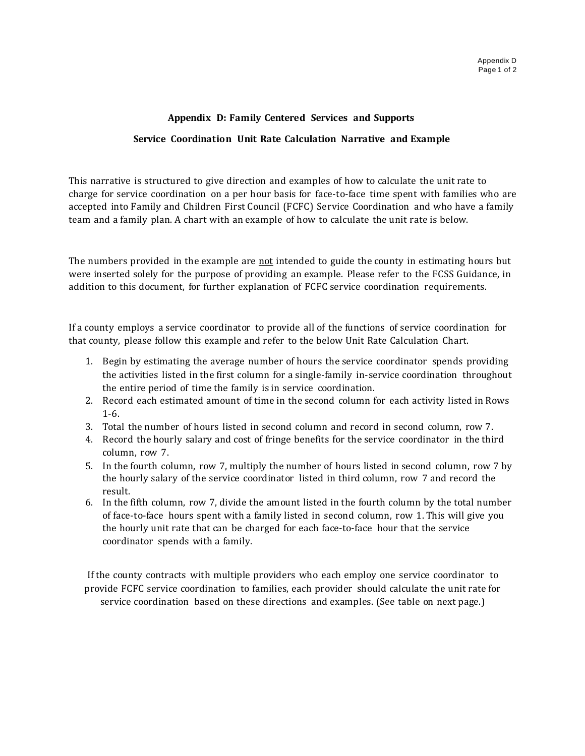#### **Appendix D: Family Centered Services and Supports**

#### **Service Coordination Unit Rate Calculation Narrative and Example**

This narrative is structured to give direction and examples of how to calculate the unit rate to charge for service coordination on a per hour basis for face-to-face time spent with families who are accepted into Family and Children First Council (FCFC) Service Coordination and who have a family team and a family plan. A chart with an example of how to calculate the unit rate is below.

The numbers provided in the example are not intended to guide the county in estimating hours but were inserted solely for the purpose of providing an example. Please refer to the FCSS Guidance, in addition to this document, for further explanation of FCFC service coordination requirements.

If a county employs a service coordinator to provide all of the functions of service coordination for that county, please follow this example and refer to the below Unit Rate Calculation Chart.

- 1. Begin by estimating the average number of hours the service coordinator spends providing the activities listed in the first column for a single-family in-service coordination throughout the entire period of time the family is in service coordination.
- 2. Record each estimated amount of time in the second column for each activity listed in Rows 1-6.
- 3. Total the number of hours listed in second column and record in second column, row 7.
- 4. Record the hourly salary and cost of fringe benefits for the service coordinator in the third column, row 7.
- 5. In the fourth column, row 7, multiply the number of hours listed in second column, row 7 by the hourly salary of the service coordinator listed in third column, row 7 and record the result.
- 6. In the fifth column, row 7, divide the amount listed in the fourth column by the total number of face-to-face hours spent with a family listed in second column, row 1. This will give you the hourly unit rate that can be charged for each face-to-face hour that the service coordinator spends with a family.

If the county contracts with multiple providers who each employ one service coordinator to provide FCFC service coordination to families, each provider should calculate the unit rate for service coordination based on these directions and examples. (See table on next page.)